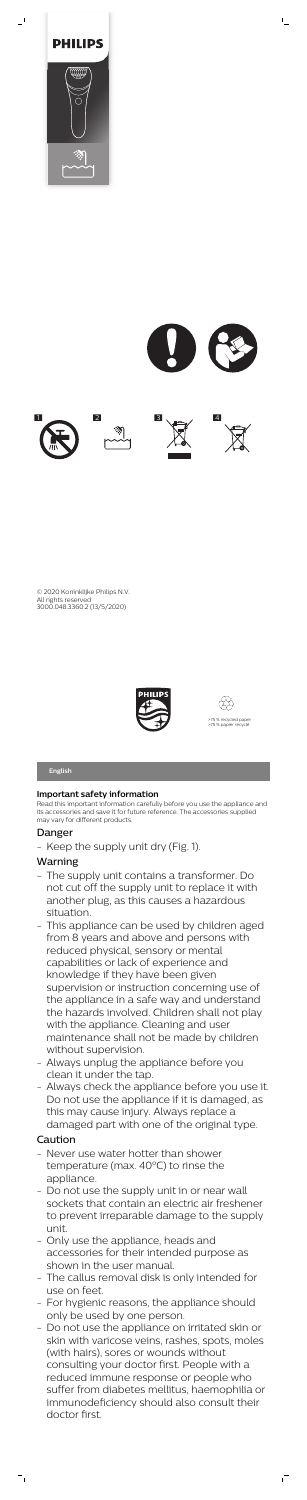

 $\overline{\phantom{a}}$ 



 $\mathbb{L}$ 



© 2020 Koninklijke Philips N.V. All rights reserved 3000.048.3360.2 (13/5/2020)





# **Important safety information**

Read this important information carefully before you use the appliance and its accessories and save it for future reference. The accessories supplied may vary for different products.

# Danger

- Keep the supply unit dry (Fig. 1).

# Warning

- The supply unit contains a transformer. Do not cut off the supply unit to replace it with another plug, as this causes a hazardous situation.
- This appliance can be used by children aged from 8 years and above and persons with reduced physical, sensory or mental capabilities or lack of experience and knowledge if they have been given supervision or instruction concerning use of the appliance in a safe way and understand the hazards involved. Children shall not play with the appliance. Cleaning and user maintenance shall not be made by children without supervision.
- Always unplug the appliance before you clean it under the tap.
- Always check the appliance before you use it. Do not use the appliance if it is damaged, as this may cause injury. Always replace a damaged part with one of the original type.

# Caution

 $=$ <sub>1</sub>

- Never use water hotter than shower temperature (max. 40°C) to rinse the appliance.
- Do not use the supply unit in or near wall sockets that contain an electric air freshener to prevent irreparable damage to the supply unit.
- Only use the appliance, heads and accessories for their intended purpose as shown in the user manual.
- The callus removal disk is only intended for use on feet.
- For hygienic reasons, the appliance should only be used by one person.
- Do not use the appliance on irritated skin or skin with varicose veins, rashes, spots, moles (with hairs), sores or wounds without consulting your doctor first. People with a reduced immune response or people who suffer from diabetes mellitus, haemophilia or immunodeficiency should also consult their doctor first.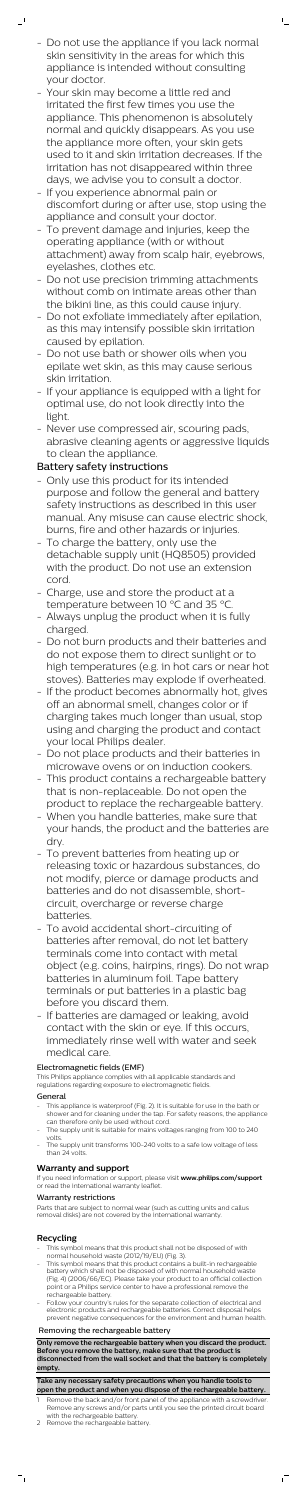- Do not use the appliance if you lack normal skin sensitivity in the areas for which this appliance is intended without consulting your doctor.

 $\mathsf{L}$ 

 $\mathbf{r}$ 

- Your skin may become a little red and irritated the first few times you use the appliance. This phenomenon is absolutely normal and quickly disappears. As you use the appliance more often, your skin gets used to it and skin irritation decreases. If the irritation has not disappeared within three days, we advise you to consult a doctor.
- If you experience abnormal pain or discomfort during or after use, stop using the appliance and consult your doctor.
- To prevent damage and injuries, keep the operating appliance (with or without attachment) away from scalp hair, eyebrows, eyelashes, clothes etc.
- Do not use precision trimming attachments without comb on intimate areas other than the bikini line, as this could cause injury.
- Do not exfoliate immediately after epilation, as this may intensify possible skin irritation caused by epilation.
- Do not use bath or shower oils when you epilate wet skin, as this may cause serious skin irritation.
- If your appliance is equipped with a light for optimal use, do not look directly into the light.
- Never use compressed air, scouring pads, abrasive cleaning agents or aggressive liquids to clean the appliance.

# Battery safety instructions

- This appliance is waterproof (Fig. 2). It is suitable for use in the bath or shower and for cleaning under the tap. For safety reasons, the appliance can therefore only be used without cord.
- The supply unit is suitable for mains voltages ranging from 100 to 240 volts.
- The supply unit transforms 100-240 volts to a safe low voltage of less than 24 volts.
- Only use this product for its intended purpose and follow the general and battery safety instructions as described in this user manual. Any misuse can cause electric shock, burns, fire and other hazards or injuries.
- To charge the battery, only use the detachable supply unit (HQ8505) provided with the product. Do not use an extension cord.
- Charge, use and store the product at a temperature between 10 °C and 35 °C.
- Always unplug the product when it is fully charged.
- Do not burn products and their batteries and do not expose them to direct sunlight or to high temperatures (e.g. in hot cars or near hot stoves). Batteries may explode if overheated.
- If the product becomes abnormally hot, gives off an abnormal smell, changes color or if charging takes much longer than usual, stop using and charging the product and contact your local Philips dealer.
- Do not place products and their batteries in microwave ovens or on induction cookers. - This product contains a rechargeable battery that is non-replaceable. Do not open the product to replace the rechargeable battery.
- When you handle batteries, make sure that your hands, the product and the batteries are dry.
- To prevent batteries from heating up or releasing toxic or hazardous substances, do not modify, pierce or damage products and batteries and do not disassemble, shortcircuit, overcharge or reverse charge batteries.
- To avoid accidental short-circuiting of batteries after removal, do not let battery terminals come into contact with metal object (e.g. coins, hairpins, rings). Do not wrap batteries in aluminum foil. Tape battery terminals or put batteries in a plastic bag before you discard them.
- If batteries are damaged or leaking, avoid contact with the skin or eye. If this occurs, immediately rinse well with water and seek medical care.

- Remove the back and/or front panel of the appliance with a screwdriver. Remove any screws and/or parts until you see the printed circuit board with the rechargeable battery.
- 2 Remove the rechargeable battery.

 $^{-}$ 

 $\overline{1}$ 

#### Electromagnetic fields (EMF)

This Philips appliance complies with all applicable standards and regulations regarding exposure to electromagnetic fields.

#### General

### **Warranty and support**

If you need information or support, please visit **www.philips.com/support** or read the international warranty leaflet.

#### Warranty restrictions

Parts that are subject to normal wear (such as cutting units and callus removal disks) are not covered by the international warranty.

## **Recycling**

- This symbol means that this product shall not be disposed of with normal household waste (2012/19/EU) (Fig. 3).
- This symbol means that this product contains a built-in rechargeable battery which shall not be disposed of with normal household waste (Fig. 4) (2006/66/EC). Please take your product to an official collection point or a Philips service center to have a professional remove the rechargeable battery.
- Follow your country's rules for the separate collection of electrical and electronic products and rechargeable batteries. Correct disposal helps prevent negative consequences for the environment and human health.

#### Removing the rechargeable battery

**Only remove the rechargeable battery when you discard the product. Before you remove the battery, make sure that the product is disconnected from the wall socket and that the battery is completely empty.**

**Take any necessary safety precautions when you handle tools to open the product and when you dispose of the rechargeable battery.**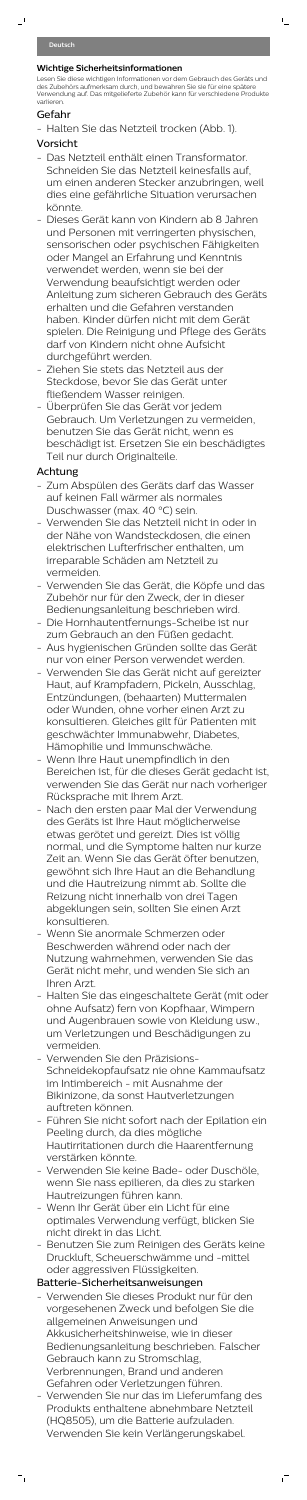$\overline{\phantom{0}}$ 

## **Wichtige Sicherheitsinformationen**

Lesen Sie diese wichtigen Informationen vor dem Gebrauch des Geräts und des Zubehörs aufmerksam durch, und bewahren Sie sie für eine spätere Verwendung auf. Das mitgelieferte Zubehör kann für verschiedene Produkte variieren.

 $\mathsf{L}_\perp$ 

# Gefahr

- Halten Sie das Netzteil trocken (Abb. 1).

# Vorsicht

- Das Netzteil enthält einen Transformator. Schneiden Sie das Netzteil keinesfalls auf, um einen anderen Stecker anzubringen, weil dies eine gefährliche Situation verursachen könnte.
- Dieses Gerät kann von Kindern ab 8 Jahren und Personen mit verringerten physischen, sensorischen oder psychischen Fähigkeiten oder Mangel an Erfahrung und Kenntnis verwendet werden, wenn sie bei der Verwendung beaufsichtigt werden oder Anleitung zum sicheren Gebrauch des Geräts erhalten und die Gefahren verstanden haben. Kinder dürfen nicht mit dem Gerät spielen. Die Reinigung und Pflege des Geräts darf von Kindern nicht ohne Aufsicht durchgeführt werden.
- Ziehen Sie stets das Netzteil aus der Steckdose, bevor Sie das Gerät unter fließendem Wasser reinigen.
- Überprüfen Sie das Gerät vor jedem Gebrauch. Um Verletzungen zu vermeiden, benutzen Sie das Gerät nicht, wenn es beschädigt ist. Ersetzen Sie ein beschädigtes Teil nur durch Originalteile.

# Achtung

- Zum Abspülen des Geräts darf das Wasser auf keinen Fall wärmer als normales Duschwasser (max. 40 °C) sein.
- Verwenden Sie das Netzteil nicht in oder in der Nähe von Wandsteckdosen, die einen elektrischen Lufterfrischer enthalten, um irreparable Schäden am Netzteil zu vermeiden.
- Verwenden Sie das Gerät, die Köpfe und das Zubehör nur für den Zweck, der in dieser Bedienungsanleitung beschrieben wird.
- Die Hornhautentfernungs-Scheibe ist nur zum Gebrauch an den Füßen gedacht.
- Aus hygienischen Gründen sollte das Gerät nur von einer Person verwendet werden.
- Verwenden Sie das Gerät nicht auf gereizter Haut, auf Krampfadern, Pickeln, Ausschlag, Entzündungen, (behaarten) Muttermalen oder Wunden, ohne vorher einen Arzt zu konsultieren. Gleiches gilt für Patienten mit geschwächter Immunabwehr, Diabetes, Hämophilie und Immunschwäche.
- Wenn Ihre Haut unempfindlich in den Bereichen ist, für die dieses Gerät gedacht ist,

verwenden Sie das Gerät nur nach vorheriger Rücksprache mit Ihrem Arzt.

- Nach den ersten paar Mal der Verwendung des Geräts ist Ihre Haut möglicherweise etwas gerötet und gereizt. Dies ist völlig normal, und die Symptome halten nur kurze Zeit an. Wenn Sie das Gerät öfter benutzen, gewöhnt sich Ihre Haut an die Behandlung und die Hautreizung nimmt ab. Sollte die Reizung nicht innerhalb von drei Tagen abgeklungen sein, sollten Sie einen Arzt konsultieren.
- Wenn Sie anormale Schmerzen oder Beschwerden während oder nach der Nutzung wahrnehmen, verwenden Sie das Gerät nicht mehr, und wenden Sie sich an Ihren Arzt.
- Halten Sie das eingeschaltete Gerät (mit oder ohne Aufsatz) fern von Kopfhaar, Wimpern und Augenbrauen sowie von Kleidung usw., um Verletzungen und Beschädigungen zu vermeiden.
- Verwenden Sie den Präzisions-Schneidekopfaufsatz nie ohne Kammaufsatz im Intimbereich - mit Ausnahme der Bikinizone, da sonst Hautverletzungen auftreten können.
- Führen Sie nicht sofort nach der Epilation ein Peeling durch, da dies mögliche Hautirritationen durch die Haarentfernung verstärken könnte.
- Verwenden Sie keine Bade- oder Duschöle, wenn Sie nass epilieren, da dies zu starken Hautreizungen führen kann.
- Wenn Ihr Gerät über ein Licht für eine optimales Verwendung verfügt, blicken Sie nicht direkt in das Licht.
- Benutzen Sie zum Reinigen des Geräts keine Druckluft, Scheuerschwämme und -mittel oder aggressiven Flüssigkeiten.

# Batterie-Sicherheitsanweisungen

 $\vdash$ 

- Verwenden Sie dieses Produkt nur für den vorgesehenen Zweck und befolgen Sie die allgemeinen Anweisungen und Akkusicherheitshinweise, wie in dieser Bedienungsanleitung beschrieben. Falscher Gebrauch kann zu Stromschlag, Verbrennungen, Brand und anderen Gefahren oder Verletzungen führen.
- Verwenden Sie nur das im Lieferumfang des Produkts enthaltene abnehmbare Netzteil (HQ8505), um die Batterie aufzuladen. Verwenden Sie kein Verlängerungskabel.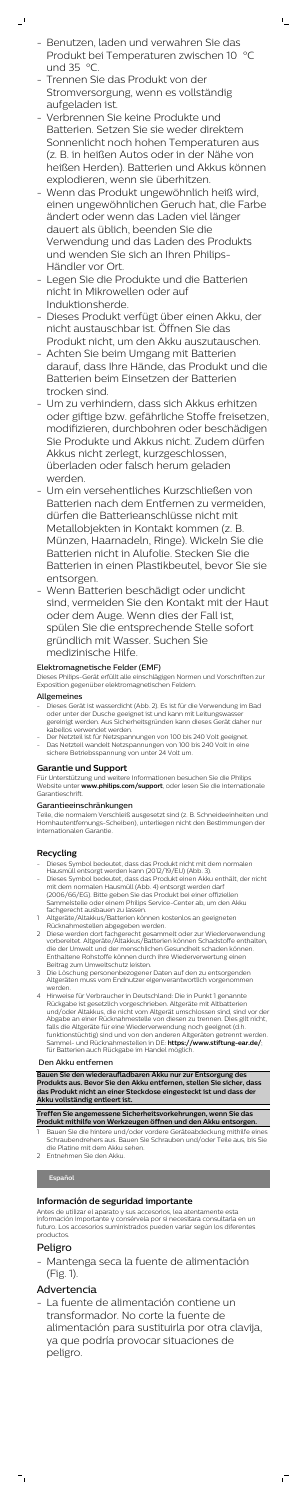- Benutzen, laden und verwahren Sie das Produkt bei Temperaturen zwischen 10 °C und  $35 \degree C$ .

 $\mathsf{L}_\perp$ 

- Trennen Sie das Produkt von der Stromversorgung, wenn es vollständig aufgeladen ist.

 $\mathbf{I}$ 

- Verbrennen Sie keine Produkte und Batterien. Setzen Sie sie weder direktem Sonnenlicht noch hohen Temperaturen aus (z. B. in heißen Autos oder in der Nähe von heißen Herden). Batterien und Akkus können explodieren, wenn sie überhitzen.
- Wenn das Produkt ungewöhnlich heiß wird, einen ungewöhnlichen Geruch hat, die Farbe ändert oder wenn das Laden viel länger dauert als üblich, beenden Sie die Verwendung und das Laden des Produkts und wenden Sie sich an Ihren Philips-Händler vor Ort.
- Legen Sie die Produkte und die Batterien nicht in Mikrowellen oder auf Induktionsherde.
- Dieses Produkt verfügt über einen Akku, der nicht austauschbar ist. Öffnen Sie das Produkt nicht, um den Akku auszutauschen.
- Achten Sie beim Umgang mit Batterien darauf, dass Ihre Hände, das Produkt und die Batterien beim Einsetzen der Batterien trocken sind.
- Um zu verhindern, dass sich Akkus erhitzen oder giftige bzw. gefährliche Stoffe freisetzen, modifizieren, durchbohren oder beschädigen Sie Produkte und Akkus nicht. Zudem dürfen Akkus nicht zerlegt, kurzgeschlossen, überladen oder falsch herum geladen werden.
- Um ein versehentliches Kurzschließen von Batterien nach dem Entfernen zu vermeiden, dürfen die Batterieanschlüsse nicht mit Metallobjekten in Kontakt kommen (z. B. Münzen, Haarnadeln, Ringe). Wickeln Sie die Batterien nicht in Alufolie. Stecken Sie die Batterien in einen Plastikbeutel, bevor Sie sie entsorgen.
- Wenn Batterien beschädigt oder undicht sind, vermeiden Sie den Kontakt mit der Haut oder dem Auge. Wenn dies der Fall ist, spülen Sie die entsprechende Stelle sofort gründlich mit Wasser. Suchen Sie medizinische Hilfe.

## Elektromagnetische Felder (EMF)

Dieses Philips-Gerät erfüllt alle einschlägigen Normen und Vorschriften zur Exposition gegenüber elektromagnetischen Feldern.

### Allgemeines

- Dieses Gerät ist wasserdicht (Abb. 2). Es ist für die Verwendung im Bad oder unter der Dusche geeignet ist und kann mit Leitungswasser gereinigt werden. Aus Sicherheitsgründen kann dieses Gerät daher nur kabellos verwendet werden.
- Der Netzteil ist für Netzspannungen von 100 bis 240 Volt geeignet. Das Netzteil wandelt Netzspannungen von 100 bis 240 Volt in eine sichere Betriebsspannung von unter 24 Volt um.

### **Garantie und Support**

Für Unterstützung und weitere Informationen besuchen Sie die Philips Website unter **www.philips.com/support**, oder lesen Sie die internationale Garantieschrift.

#### Garantieeinschränkungen

Teile, die normalem Verschleiß ausgesetzt sind (z. B. Schneideeinheiten und Hornhautentfernungs-Scheiben), unterliegen nicht den Bestimmungen der internationalen Garantie.

## **Recycling**

- Dieses Symbol bedeutet, dass das Produkt nicht mit dem normalen Hausmüll entsorgt werden kann (2012/19/EU) (Abb. 3).
- Dieses Symbol bedeutet, dass das Produkt einen Akku enthält, der nicht mit dem normalen Hausmüll (Abb. 4) entsorgt werden darf (2006/66/EG). Bitte geben Sie das Produkt bei einer offiziellen Sammelstelle oder einem Philips Service-Center ab, um den Akku fachgerecht ausbauen zu lassen.
- 1 Altgeräte/Altakkus/Batterien können kostenlos an geeigneten Rücknahmestellen abgegeben werden.
- 2 Diese werden dort fachgerecht gesammelt oder zur Wiederverwendung vorbereitet. Altgeräte/Altakkus/Batterien können Schadstoffe enthalten, die der Umwelt und der menschlichen Gesundheit schaden können. Enthaltene Rohstoffe können durch ihre Wiederverwertung einen Beitrag zum Umweltschutz leisten.
- 3 Die Löschung personenbezogener Daten auf den zu entsorgenden Altgeräten muss vom Endnutzer eigenverantwortlich vorgenommen werden.
- 4 Hinweise für Verbraucher in Deutschland: Die in Punkt 1 genannte Rückgabe ist gesetzlich vorgeschrieben. Altgeräte mit Altbatterien und/oder Altakkus, die nicht vom Altgerät umschlossen sind, sind vor der Abgabe an einer Rücknahmestelle von diesen zu trennen. Dies gilt nicht, falls die Altgeräte für eine Wiederverwendung noch geeignet (d.h. funktionstüchtig) sind und von den anderen Altgeräten getrennt werden. Sammel- und Rücknahmestellen in DE: **https://www.stiftung-ear.de/**; für Batterien auch Rückgabe im Handel möglich.

#### Den Akku entfernen

**Bauen Sie den wiederaufladbaren Akku nur zur Entsorgung des Produkts aus. Bevor Sie den Akku entfernen, stellen Sie sicher, dass das Produkt nicht an einer Steckdose eingesteckt ist und dass der Akku vollständig entleert ist.**

**Treffen Sie angemessene Sicherheitsvorkehrungen, wenn Sie das Produkt mithilfe von Werkzeugen öffnen und den Akku entsorgen.**

- 1 Bauen Sie die hintere und/oder vordere Geräteabdeckung mithilfe eines Schraubendrehers aus. Bauen Sie Schrauben und/oder Teile aus, bis Sie die Platine mit dem Akku sehen.
- 2 Entnehmen Sie den Akku.

# **Español**

## **Información de seguridad importante**

Antes de utilizar el aparato y sus accesorios, lea atentamente esta información importante y consérvela por si necesitara consultarla en un futuro. Los accesorios suministrados pueden variar según los diferentes productos.

## Peligro

 $\overline{\phantom{a}}$ 

- Mantenga seca la fuente de alimentación (Fig. 1).

## Advertencia

- La fuente de alimentación contiene un transformador. No corte la fuente de alimentación para sustituirla por otra clavija, ya que podría provocar situaciones de peligro.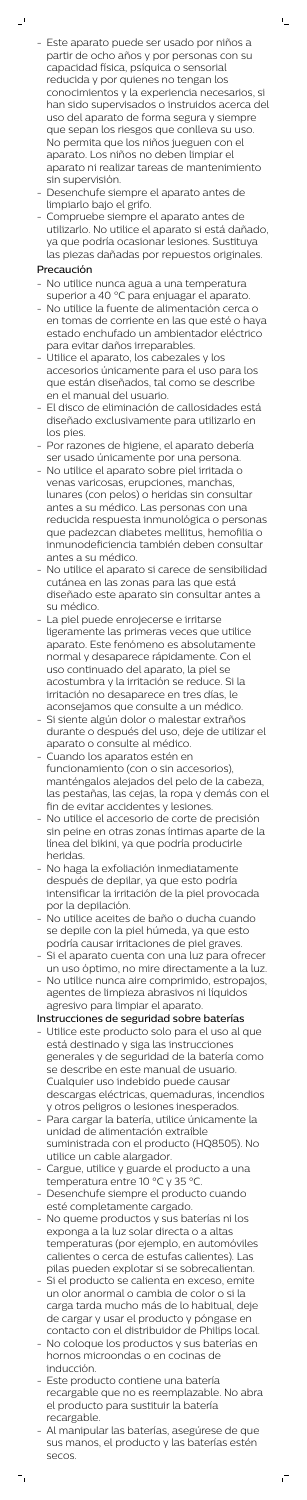- Este aparato puede ser usado por niños a partir de ocho años y por personas con su capacidad física, psíquica o sensorial reducida y por quienes no tengan los conocimientos y la experiencia necesarios, si han sido supervisados o instruidos acerca del uso del aparato de forma segura y siempre que sepan los riesgos que conlleva su uso. No permita que los niños jueguen con el aparato. Los niños no deben limpiar el aparato ni realizar tareas de mantenimiento sin supervisión.

 $\mathsf{L}_\perp$ 

- Desenchufe siempre el aparato antes de limpiarlo bajo el grifo.
- Compruebe siempre el aparato antes de utilizarlo. No utilice el aparato si está dañado, ya que podría ocasionar lesiones. Sustituya las piezas dañadas por repuestos originales.

# Precaución

 $\mathbf{r}$ 

- No utilice nunca agua a una temperatura superior a 40 °C para enjuagar el aparato.
- No utilice la fuente de alimentación cerca o en tomas de corriente en las que esté o haya estado enchufado un ambientador eléctrico para evitar daños irreparables.
- Utilice el aparato, los cabezales y los accesorios únicamente para el uso para los que están diseñados, tal como se describe en el manual del usuario.
- El disco de eliminación de callosidades está diseñado exclusivamente para utilizarlo en los pies.
- Por razones de higiene, el aparato debería ser usado únicamente por una persona.
- No utilice el aparato sobre piel irritada o venas varicosas, erupciones, manchas, lunares (con pelos) o heridas sin consultar antes a su médico. Las personas con una reducida respuesta inmunológica o personas que padezcan diabetes mellitus, hemofilia o inmunodeficiencia también deben consultar antes a su médico.
- No utilice el aparato si carece de sensibilidad cutánea en las zonas para las que está diseñado este aparato sin consultar antes a su médico.
- La piel puede enrojecerse e irritarse ligeramente las primeras veces que utilice aparato. Este fenómeno es absolutamente normal y desaparece rápidamente. Con el uso continuado del aparato, la piel se acostumbra y la irritación se reduce. Si la irritación no desaparece en tres días, le aconsejamos que consulte a un médico.
- Si siente algún dolor o malestar extraños durante o después del uso, deje de utilizar el aparato o consulte al médico.
- Cuando los aparatos estén en funcionamiento (con o sin accesorios),

- No utilice el accesorio de corte de precisión sin peine en otras zonas íntimas aparte de la línea del bikini, ya que podría producirle heridas.
- No haga la exfoliación inmediatamente después de depilar, ya que esto podría intensificar la irritación de la piel provocada por la depilación.
- No utilice aceites de baño o ducha cuando se depile con la piel húmeda, ya que esto podría causar irritaciones de piel graves.
- Si el aparato cuenta con una luz para ofrecer un uso óptimo, no mire directamente a la luz.
- No utilice nunca aire comprimido, estropajos, agentes de limpieza abrasivos ni líquidos agresivo para limpiar el aparato.

manténgalos alejados del pelo de la cabeza, las pestañas, las cejas, la ropa y demás con el fin de evitar accidentes y lesiones.

Instrucciones de seguridad sobre baterías

- Utilice este producto solo para el uso al que está destinado y siga las instrucciones generales y de seguridad de la batería como se describe en este manual de usuario. Cualquier uso indebido puede causar descargas eléctricas, quemaduras, incendios y otros peligros o lesiones inesperados.
- Para cargar la batería, utilice únicamente la unidad de alimentación extraíble suministrada con el producto (HQ8505). No utilice un cable alargador.
- Cargue, utilice y guarde el producto a una temperatura entre 10 °C y 35 °C.
- Desenchufe siempre el producto cuando esté completamente cargado.
- No queme productos y sus baterías ni los exponga a la luz solar directa o a altas temperaturas (por ejemplo, en automóviles calientes o cerca de estufas calientes). Las pilas pueden explotar si se sobrecalientan.
- Si el producto se calienta en exceso, emite un olor anormal o cambia de color o si la carga tarda mucho más de lo habitual, deje de cargar y usar el producto y póngase en contacto con el distribuidor de Philips local.
- No coloque los productos y sus baterías en hornos microondas o en cocinas de inducción.
- Este producto contiene una batería recargable que no es reemplazable. No abra el producto para sustituir la batería recargable.
- Al manipular las baterías, asegúrese de que sus manos, el producto y las baterías estén secos.

 $^{-}$ 

 $\vdash$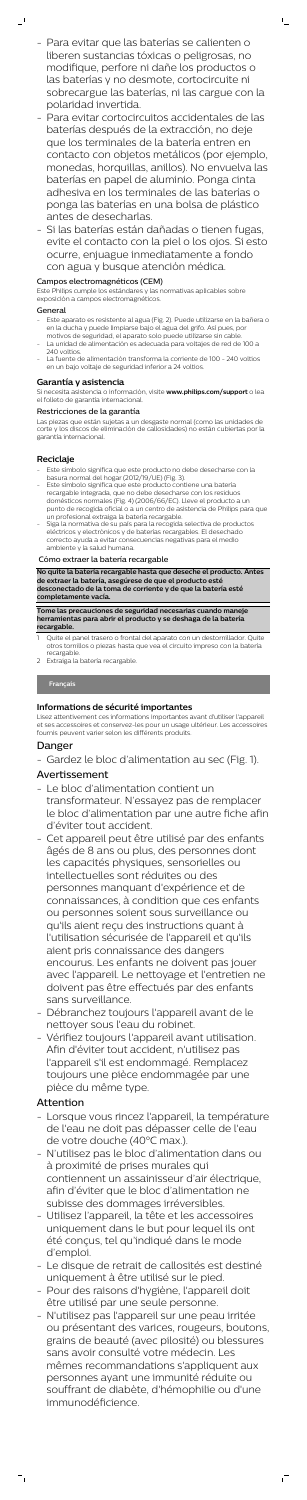- Para evitar que las baterías se calienten o liberen sustancias tóxicas o peligrosas, no modifique, perfore ni dañe los productos o las baterías y no desmote, cortocircuite ni sobrecargue las baterías, ni las cargue con la polaridad invertida.

 $\mathbb{L}$ 

- Para evitar cortocircuitos accidentales de las baterías después de la extracción, no deje que los terminales de la batería entren en contacto con objetos metálicos (por ejemplo, monedas, horquillas, anillos). No envuelva las baterías en papel de aluminio. Ponga cinta adhesiva en los terminales de las baterías o ponga las baterías en una bolsa de plástico antes de desecharlas.
- Si las baterías están dañadas o tienen fugas, evite el contacto con la piel o los ojos. Si esto ocurre, enjuague inmediatamente a fondo con agua y busque atención médica.

- Este aparato es resistente al agua (Fig. 2). Puede utilizarse en la bañera o en la ducha y puede limpiarse bajo el agua del grifo. Así pues, por motivos de seguridad, el aparato solo puede utilizarse sin cable.
- La unidad de alimentación es adecuada para voltajes de red de 100 a 240 voltios
- La fuente de alimentación transforma la corriente de 100 240 voltios en un bajo voltaje de seguridad inferior a 24 voltios.

### Campos electromagnéticos (CEM)

Este Philips cumple los estándares y las normativas aplicables sobre exposición a campos electromagnéticos.

#### General

 $\mathbf{I}$ 

- Este símbolo significa que este producto no debe desecharse con la basura normal del hogar (2012/19/UE) (Fig. 3).
- Este símbolo significa que este producto contiene una batería recargable integrada, que no debe desecharse con los residuos domésticos normales (Fig. 4) (2006/66/EC). Lleve el producto a un punto de recogida oficial o a un centro de asistencia de Philips para que un profesional extraiga la batería recargable.
- Siga la normativa de su país para la recogida selectiva de productos eléctricos y electrónicos y de baterías recargables. El desechado correcto ayuda a evitar consecuencias negativas para el medio ambiente y la salud humana.

## **Garantía y asistencia**

Si necesita asistencia o información, visite **www.philips.com/support** o lea el folleto de garantía internacional.

- Quite el panel trasero o frontal del aparato con un destornillador. Quite otros tornillos o piezas hasta que vea el circuito impreso con la batería recargable.
- 2 Extraiga la batería recargable.

### Restricciones de la garantía

Las piezas que están sujetas a un desgaste normal (como las unidades de corte y los discos de eliminación de callosidades) no están cubiertas por la garantía internacional.

## **Reciclaje**

### Cómo extraer la batería recargable

**No quite la batería recargable hasta que deseche el producto. Antes de extraer la batería, asegúrese de que el producto esté desconectado de la toma de corriente y de que la batería esté completamente vacía.**

#### **Tome las precauciones de seguridad necesarias cuando maneje herramientas para abrir el producto y se deshaga de la batería recargable.**

### **Français**

### **Informations de sécurité importantes**

Lisez attentivement ces informations importantes avant d'utiliser l'appareil et ses accessoires et conservez-les pour un usage ultérieur. Les accessoires fournis peuvent varier selon les différents produits.

# Danger - Gardez le bloc d'alimentation au sec (Fig. 1). Avertissement

- Le bloc d'alimentation contient un transformateur. N'essayez pas de remplacer le bloc d'alimentation par une autre fiche afin d'éviter tout accident.
- Cet appareil peut être utilisé par des enfants âgés de 8 ans ou plus, des personnes dont les capacités physiques, sensorielles ou intellectuelles sont réduites ou des personnes manquant d'expérience et de connaissances, à condition que ces enfants ou personnes soient sous surveillance ou qu'ils aient reçu des instructions quant à l'utilisation sécurisée de l'appareil et qu'ils aient pris connaissance des dangers encourus. Les enfants ne doivent pas jouer avec l'appareil. Le nettoyage et l'entretien ne doivent pas être effectués par des enfants sans surveillance.
- Débranchez toujours l'appareil avant de le nettoyer sous l'eau du robinet.
- Vérifiez toujours l'appareil avant utilisation. Afin d'éviter tout accident, n'utilisez pas l'appareil s'il est endommagé. Remplacez toujours une pièce endommagée par une pièce du même type.

# Attention

 $\vdash$ 

- Lorsque vous rincez l'appareil, la température de l'eau ne doit pas dépasser celle de l'eau de votre douche (40°C max.).
- N'utilisez pas le bloc d'alimentation dans ou à proximité de prises murales qui contiennent un assainisseur d'air électrique, afin d'éviter que le bloc d'alimentation ne subisse des dommages irréversibles.
- Utilisez l'appareil, la tête et les accessoires uniquement dans le but pour lequel ils ont été conçus, tel qu'indiqué dans le mode d'emploi.
- Le disque de retrait de callosités est destiné uniquement à être utilisé sur le pied.
- Pour des raisons d'hygiène, l'appareil doit être utilisé par une seule personne.
- N'utilisez pas l'appareil sur une peau irritée ou présentant des varices, rougeurs, boutons, grains de beauté (avec pilosité) ou blessures sans avoir consulté votre médecin. Les mêmes recommandations s'appliquent aux personnes ayant une immunité réduite ou souffrant de diabète, d'hémophilie ou d'une immunodéficience.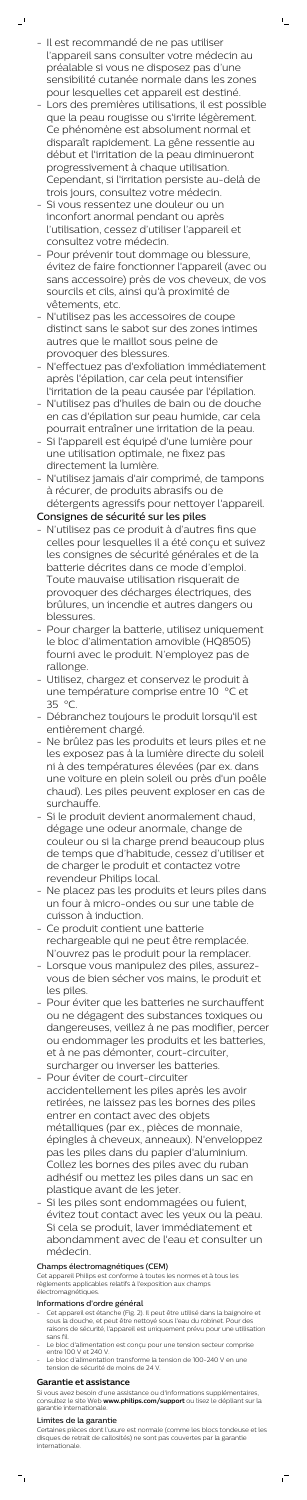- Il est recommandé de ne pas utiliser l'appareil sans consulter votre médecin au préalable si vous ne disposez pas d'une sensibilité cutanée normale dans les zones pour lesquelles cet appareil est destiné.

 $\mathbb{L}$ 

 $\mathbf{r}$ 

- Lors des premières utilisations, il est possible que la peau rougisse ou s'irrite légèrement. Ce phénomène est absolument normal et disparaît rapidement. La gêne ressentie au début et l'irritation de la peau diminueront progressivement à chaque utilisation. Cependant, si l'irritation persiste au-delà de trois jours, consultez votre médecin.
- Si vous ressentez une douleur ou un inconfort anormal pendant ou après l'utilisation, cessez d'utiliser l'appareil et consultez votre médecin.
- Pour prévenir tout dommage ou blessure, évitez de faire fonctionner l'appareil (avec ou sans accessoire) près de vos cheveux, de vos sourcils et cils, ainsi qu'à proximité de vêtements, etc.
- N'utilisez pas les accessoires de coupe distinct sans le sabot sur des zones intimes autres que le maillot sous peine de provoquer des blessures.
- N'effectuez pas d'exfoliation immédiatement après l'épilation, car cela peut intensifier l'irritation de la peau causée par l'épilation.
- N'utilisez pas d'huiles de bain ou de douche en cas d'épilation sur peau humide, car cela pourrait entraîner une irritation de la peau.
- Si l'appareil est équipé d'une lumière pour une utilisation optimale, ne fixez pas directement la lumière.
- N'utilisez jamais d'air comprimé, de tampons à récurer, de produits abrasifs ou de détergents agressifs pour nettoyer l'appareil.

# Consignes de sécurité sur les piles

- N'utilisez pas ce produit à d'autres fins que celles pour lesquelles il a été conçu et suivez les consignes de sécurité générales et de la batterie décrites dans ce mode d'emploi. Toute mauvaise utilisation risquerait de provoquer des décharges électriques, des brûlures, un incendie et autres dangers ou blessures.
- Pour charger la batterie, utilisez uniquement le bloc d'alimentation amovible (HQ8505) fourni avec le produit. N'employez pas de rallonge.
- Utilisez, chargez et conservez le produit à une température comprise entre 10 °C et 35 °C.
- Débranchez toujours le produit lorsqu'il est entièrement chargé.
- Ne brûlez pas les produits et leurs piles et ne les exposez pas à la lumière directe du soleil ni à des températures élevées (par ex. dans

- Cet appareil est étanche (Fig. 2). Il peut être utilisé dans la baignoire et sous la douche, et peut être nettoyé sous l'eau du robinet. Pour des raisons de sécurité, l'appareil est uniquement prévu pour une utilisation sans fil.
- Le bloc d'alimentation est conçu pour une tension secteur comprise entre 100 V et 240 V.
- Le bloc d'alimentation transforme la tension de 100-240 V en une tension de sécurité de moins de 24 V.

une voiture en plein soleil ou près d'un poêle chaud). Les piles peuvent exploser en cas de surchauffe.

- Si le produit devient anormalement chaud, dégage une odeur anormale, change de couleur ou si la charge prend beaucoup plus de temps que d'habitude, cessez d'utiliser et de charger le produit et contactez votre revendeur Philips local.
- Ne placez pas les produits et leurs piles dans un four à micro-ondes ou sur une table de cuisson à induction.
- Ce produit contient une batterie rechargeable qui ne peut être remplacée. N'ouvrez pas le produit pour la remplacer.
- Lorsque vous manipulez des piles, assurezvous de bien sécher vos mains, le produit et les piles.
- Pour éviter que les batteries ne surchauffent ou ne dégagent des substances toxiques ou dangereuses, veillez à ne pas modifier, percer ou endommager les produits et les batteries, et à ne pas démonter, court-circuiter, surcharger ou inverser les batteries.
- Pour éviter de court-circuiter accidentellement les piles après les avoir retirées, ne laissez pas les bornes des piles entrer en contact avec des objets métalliques (par ex., pièces de monnaie, épingles à cheveux, anneaux). N'enveloppez pas les piles dans du papier d'aluminium. Collez les bornes des piles avec du ruban adhésif ou mettez les piles dans un sac en plastique avant de les jeter.
- Si les piles sont endommagées ou fuient, évitez tout contact avec les yeux ou la peau. Si cela se produit, laver immédiatement et abondamment avec de l'eau et consulter un médecin.

## Champs électromagnétiques (CEM)

Cet appareil Philips est conforme à toutes les normes et à tous les règlements applicables relatifs à l'exposition aux champs électromagnétiques.

### Informations d'ordre général

## **Garantie et assistance**

Si vous avez besoin d'une assistance ou d'informations supplémentaires, consultez le site Web **www.philips.com/support** ou lisez le dépliant sur la garantie internationale.

#### Limites de la garantie

Certaines pièces dont l'usure est normale (comme les blocs tondeuse et les disques de retrait de callosités) ne sont pas couvertes par la garantie internationale.

 $^{-}$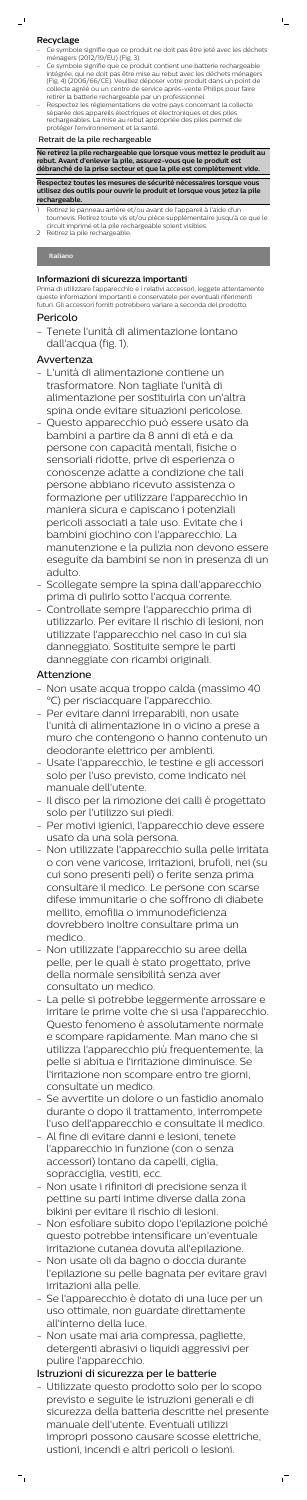## **Recyclage**

- Ce symbole signifie que ce produit ne doit pas être jeté avec les déchets ménagers (2012/19/EU) (Fig. 3).
- Ce symbole signifie que ce produit contient une batterie rechargeable intégrée, qui ne doit pas être mise au rebut avec les déchets ménagers (Fig. 4) (2006/66/CE). Veuillez déposer votre produit dans un point de collecte agréé ou un centre de service après-vente Philips pour faire retirer la batterie rechargeable par un professionnel.
- Respectez les réglementations de votre pays concernant la collecte séparée des appareils électriques et électroniques et des piles rechargeables. La mise au rebut appropriée des piles permet de protéger l'environnement et la santé.

- 1 Retirez le panneau arrière et/ou avant de l'appareil à l'aide d'un tournevis. Retirez toute vis et/ou pièce supplémentaire jusqu'à ce que le circuit imprimé et la pile rechargeable soient visibles.
- Retirez la pile rechargeable.

### Retrait de la pile rechargeable

**Ne retirez la pile rechargeable que lorsque vous mettez le produit au rebut. Avant d'enlever la pile, assurez-vous que le produit est débranché de la prise secteur et que la pile est complètement vide.**

**Respectez toutes les mesures de sécurité nécessaires lorsque vous utilisez des outils pour ouvrir le produit et lorsque vous jetez la pile rechargeable.**

#### **Italiano**

### **Informazioni di sicurezza importanti**

Prima di utilizzare l'apparecchio e i relativi accessori, leggete attentamente queste informazioni importanti e conservatele per eventuali riferimenti futuri. Gli accessori forniti potrebbero variare a seconda del prodotto.

# Pericolo

- Tenete l'unità di alimentazione lontano dall'acqua (fig. 1).

## Avvertenza

- L'unità di alimentazione contiene un trasformatore. Non tagliate l'unità di alimentazione per sostituirla con un'altra spina onde evitare situazioni pericolose.
- Questo apparecchio può essere usato da bambini a partire da 8 anni di età e da persone con capacità mentali, fisiche o sensoriali ridotte, prive di esperienza o conoscenze adatte a condizione che tali persone abbiano ricevuto assistenza o formazione per utilizzare l'apparecchio in maniera sicura e capiscano i potenziali pericoli associati a tale uso. Evitate che i bambini giochino con l'apparecchio. La manutenzione e la pulizia non devono essere eseguite da bambini se non in presenza di un adulto.
- Scollegate sempre la spina dall'apparecchio prima di pulirlo sotto l'acqua corrente.
- Controllate sempre l'apparecchio prima di utilizzarlo. Per evitare il rischio di lesioni, non utilizzate l'apparecchio nel caso in cui sia danneggiato. Sostituite sempre le parti danneggiate con ricambi originali.

## Attenzione

- Non usate acqua troppo calda (massimo 40 °C) per risciacquare l'apparecchio.
- Per evitare danni irreparabili, non usate l'unità di alimentazione in o vicino a prese a muro che contengono o hanno contenuto un deodorante elettrico per ambienti.
- Usate l'apparecchio, le testine e gli accessori solo per l'uso previsto, come indicato nel manuale dell'utente. - Il disco per la rimozione dei calli è progettato solo per l'utilizzo sui piedi. - Per motivi igienici, l'apparecchio deve essere usato da una sola persona. - Non utilizzate l'apparecchio sulla pelle irritata o con vene varicose, irritazioni, brufoli, nei (su cui sono presenti peli) o ferite senza prima consultare il medico. Le persone con scarse difese immunitarie o che soffrono di diabete mellito, emofilia o immunodeficienza dovrebbero inoltre consultare prima un medico. - Non utilizzate l'apparecchio su aree della pelle, per le quali è stato progettato, prive della normale sensibilità senza aver consultato un medico. - La pelle si potrebbe leggermente arrossare e irritare le prime volte che si usa l'apparecchio. Questo fenomeno è assolutamente normale e scompare rapidamente. Man mano che si utilizza l'apparecchio più frequentemente, la pelle si abitua e l'irritazione diminuisce. Se l'irritazione non scompare entro tre giorni, consultate un medico. - Se avvertite un dolore o un fastidio anomalo durante o dopo il trattamento, interrompete l'uso dell'apparecchio e consultate il medico. - Al fine di evitare danni e lesioni, tenete l'apparecchio in funzione (con o senza accessori) lontano da capelli, ciglia, sopracciglia, vestiti, ecc. - Non usate i rifinitori di precisione senza il pettine su parti intime diverse dalla zona bikini per evitare il rischio di lesioni. - Non esfoliare subito dopo l'epilazione poiché questo potrebbe intensificare un'eventuale irritazione cutanea dovuta all'epilazione. - Non usate oli da bagno o doccia durante l'epilazione su pelle bagnata per evitare gravi irritazioni alla pelle. - Se l'apparecchio è dotato di una luce per un uso ottimale, non guardate direttamente all'interno della luce. - Non usate mai aria compressa, pagliette, detergenti abrasivi o liquidi aggressivi per pulire l'apparecchio.

# Istruzioni di sicurezza per le batterie

- Utilizzate questo prodotto solo per lo scopo previsto e seguite le istruzioni generali e di sicurezza della batteria descritte nel presente manuale dell'utente. Eventuali utilizzi impropri possono causare scosse elettriche, ustioni, incendi e altri pericoli o lesioni.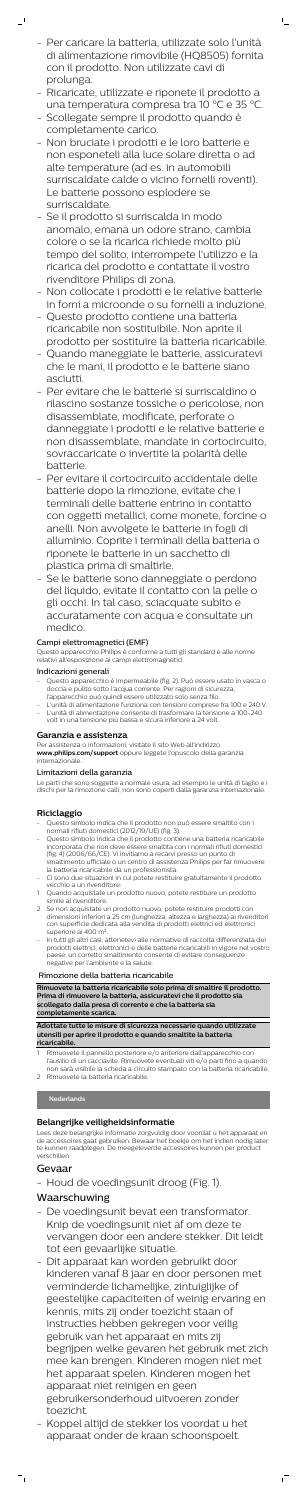- Per caricare la batteria, utilizzate solo l'unità di alimentazione rimovibile (HQ8505) fornita con il prodotto. Non utilizzate cavi di prolunga.

 $\mathbb{L}_+$ 

 $\mathbf{I}$ 

- Ricaricate, utilizzate e riponete il prodotto a una temperatura compresa tra 10 °C e 35 °C.
- Scollegate sempre il prodotto quando è completamente carico.
- Non bruciate i prodotti e le loro batterie e non esponeteli alla luce solare diretta o ad alte temperature (ad es. in automobili surriscaldate calde o vicino fornelli roventi). Le batterie possono esplodere se surriscaldate.
- Se il prodotto si surriscalda in modo anomalo, emana un odore strano, cambia colore o se la ricarica richiede molto più tempo del solito, interrompete l'utilizzo e la ricarica del prodotto e contattate il vostro rivenditore Philips di zona.
- Non collocate i prodotti e le relative batterie in forni a microonde o su fornelli a induzione.
- Questo prodotto contiene una batteria ricaricabile non sostituibile. Non aprite il prodotto per sostituire la batteria ricaricabile.
- Quando maneggiate le batterie, assicuratevi che le mani, il prodotto e le batterie siano asciutti.
- Per evitare che le batterie si surriscaldino o rilascino sostanze tossiche o pericolose, non disassemblate, modificate, perforate o danneggiate i prodotti e le relative batterie e non disassemblate, mandate in cortocircuito, sovraccaricate o invertite la polarità delle batterie.
- Per evitare il cortocircuito accidentale delle batterie dopo la rimozione, evitate che i terminali delle batterie entrino in contatto con oggetti metallici, come monete, forcine o anelli. Non avvolgete le batterie in fogli di alluminio. Coprite i terminali della batteria o riponete le batterie in un sacchetto di plastica prima di smaltirle.
- Se le batterie sono danneggiate o perdono del liquido, evitate il contatto con la pelle o gli occhi. In tal caso, sciacquate subito e accuratamente con acqua e consultate un medico.

- Questo apparecchio è impermeabile (fig. 2). Può essere usato in vasca o doccia e pulito sotto l'acqua corrente. Per ragioni di sicurezza, l'apparecchio può quindi essere utilizzato solo senza filo.
- L'unità di alimentazione funziona con tensioni comprese fra 100 e 240 V. - L'unità di alimentazione consente di trasformare la tensione a 100-240 volt in una tensione più bassa e sicura inferiore a 24 volt.

## Campi elettromagnetici (EMF)

- Questo simbolo indica che il prodotto non può essere smaltito con i normali rifiuti domestici (2012/19/UE) (fig. 3).
- Questo simbolo indica che il prodotto contiene una batteria ricaricabile incorporata che non deve essere smaltita con i normali rifiuti domestici (fig. 4) (2006/66/CE). Vi invitiamo a recarvi presso un punto di smaltimento ufficiale o un centro di assistenza Philips per far rimuovere la batteria ricaricabile da un professionista.
- Ci sono due situazioni in cui potete restituire gratuitamente il prodotto vecchio a un rivenditore:
- 1 Quando acquistate un prodotto nuovo, potete restituire un prodotto simile al rivenditore.
- 2 Se non acquistate un prodotto nuovo, potete restituire prodotti con dimensioni inferiori a 25 cm (lunghezza, altezza e larghezza) ai rivenditori con superficie dedicata alla vendita di prodotti elettrici ed elettronici superiore ai 400 m<sup>2</sup>.
- In tutti gli altri casi, attenetevi alle normative di raccolta differenziata dei prodotti elettrici, elettronici e delle batterie ricaricabili in vigore nel vostro paese: un corretto smaltimento consente di evitare conseguenze negative per l'ambiente e la salute.

Questo apparecchio Philips è conforme a tutti gli standard e alle norme relativi all'esposizione ai campi elettromagnetici.

## Indicazioni generali

Rimuovete il pannello posteriore e/o anteriore dall'apparecchio con l'ausilio di un cacciavite. Rimuovete eventuali viti e/o parti fino a quando non sarà visibile la scheda a circuito stampato con la batteria ricaricabile. 2 Rimuovete la batteria ricaricabile.

### **Garanzia e assistenza**

Per assistenza o informazioni, visitate il sito Web all'indirizzo **www.philips.com/support** oppure leggete l'opuscolo della garanzia internazionale.

# Limitazioni della garanzia

Le parti che sono soggette a normale usura, ad esempio le unità di taglio e i dischi per la rimozione calli, non sono coperti dalla garanzia internazionale.

## **Riciclaggio**

### Rimozione della batteria ricaricabile

**Rimuovete la batteria ricaricabile solo prima di smaltire il prodotto. Prima di rimuovere la batteria, assicuratevi che il prodotto sia scollegato dalla presa di corrente e che la batteria sia completamente scarica.**

**Adottate tutte le misure di sicurezza necessarie quando utilizzate utensili per aprire il prodotto e quando smaltite la batteria ricaricabile.**

### **Nederlands**

### **Belangrijke veiligheidsinformatie**

Lees deze belangrijke informatie zorgvuldig door voordat u het apparaat en de accessoires gaat gebruiken. Bewaar het boekje om het indien nodig later te kunnen raadplegen. De meegeleverde accessoires kunnen per product verschillen.

## Gevaar

- Houd de voedingsunit droog (Fig. 1).

## Waarschuwing

- De voedingsunit bevat een transformator. Knip de voedingsunit niet af om deze te vervangen door een andere stekker. Dit leidt tot een gevaarlijke situatie.
- Dit apparaat kan worden gebruikt door kinderen vanaf 8 jaar en door personen met verminderde lichamelijke, zintuiglijke of geestelijke capaciteiten of weinig ervaring en kennis, mits zij onder toezicht staan of instructies hebben gekregen voor veilig gebruik van het apparaat en mits zij begrijpen welke gevaren het gebruik met zich mee kan brengen. Kinderen mogen niet met het apparaat spelen. Kinderen mogen het apparaat niet reinigen en geen gebruikersonderhoud uitvoeren zonder toezicht.
- Koppel altijd de stekker los voordat u het apparaat onder de kraan schoonspoelt.

 $\overline{1}$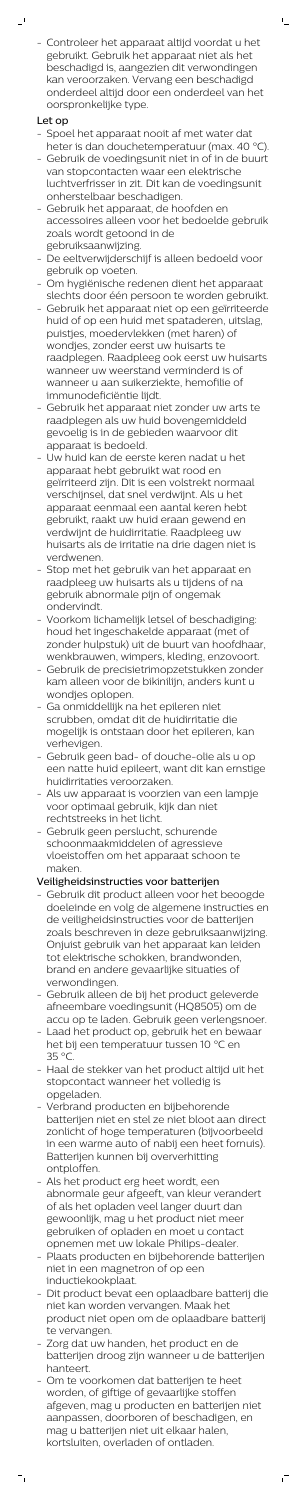- Controleer het apparaat altijd voordat u het gebruikt. Gebruik het apparaat niet als het beschadigd is, aangezien dit verwondingen kan veroorzaken. Vervang een beschadigd onderdeel altijd door een onderdeel van het oorspronkelijke type.

 $\mathbb{L}$ 

# Let op

 $\mathbf{r}$ 

- Spoel het apparaat nooit af met water dat heter is dan douchetemperatuur (max. 40 °C).
- Gebruik de voedingsunit niet in of in de buurt van stopcontacten waar een elektrische luchtverfrisser in zit. Dit kan de voedingsunit onherstelbaar beschadigen.
- Gebruik het apparaat, de hoofden en accessoires alleen voor het bedoelde gebruik zoals wordt getoond in de gebruiksaanwijzing.
- De eeltverwijderschijf is alleen bedoeld voor gebruik op voeten.
- Om hygiënische redenen dient het apparaat slechts door één persoon te worden gebruikt.
- Gebruik het apparaat niet op een geïrriteerde huid of op een huid met spataderen, uitslag, puistjes, moedervlekken (met haren) of wondjes, zonder eerst uw huisarts te raadplegen. Raadpleeg ook eerst uw huisarts wanneer uw weerstand verminderd is of wanneer u aan suikerziekte, hemofilie of immunodeficiëntie lijdt.
- Gebruik het apparaat niet zonder uw arts te raadplegen als uw huid bovengemiddeld gevoelig is in de gebieden waarvoor dit apparaat is bedoeld.
- Uw huid kan de eerste keren nadat u het apparaat hebt gebruikt wat rood en geïrriteerd zijn. Dit is een volstrekt normaal verschijnsel, dat snel verdwijnt. Als u het apparaat eenmaal een aantal keren hebt gebruikt, raakt uw huid eraan gewend en verdwijnt de huidirritatie. Raadpleeg uw huisarts als de irritatie na drie dagen niet is verdwenen.
- Stop met het gebruik van het apparaat en raadpleeg uw huisarts als u tijdens of na gebruik abnormale pijn of ongemak ondervindt.
- Voorkom lichamelijk letsel of beschadiging: houd het ingeschakelde apparaat (met of zonder hulpstuk) uit de buurt van hoofdhaar, wenkbrauwen, wimpers, kleding, enzovoort.
- Gebruik de precisietrimopzetstukken zonder kam alleen voor de bikinilijn, anders kunt u wondjes oplopen.
- Ga onmiddellijk na het epileren niet scrubben, omdat dit de huidirritatie die mogelijk is ontstaan door het epileren, kan verhevigen.
- Gebruik geen bad- of douche-olie als u op een natte huid epileert, want dit kan ernstige
- huidirritaties veroorzaken.
- Als uw apparaat is voorzien van een lampje voor optimaal gebruik, kijk dan niet rechtstreeks in het licht.
- Gebruik geen perslucht, schurende schoonmaakmiddelen of agressieve vloeistoffen om het apparaat schoon te maken.

# Veiligheidsinstructies voor batterijen

- Gebruik dit product alleen voor het beoogde doeleinde en volg de algemene instructies en de veiligheidsinstructies voor de batterijen zoals beschreven in deze gebruiksaanwijzing. Onjuist gebruik van het apparaat kan leiden tot elektrische schokken, brandwonden, brand en andere gevaarlijke situaties of verwondingen.
- Gebruik alleen de bij het product geleverde afneembare voedingsunit (HQ8505) om de accu op te laden. Gebruik geen verlengsnoer.
- Laad het product op, gebruik het en bewaar het bij een temperatuur tussen 10 °C en 35 °C.
- Haal de stekker van het product altijd uit het stopcontact wanneer het volledig is opgeladen.
- Verbrand producten en bijbehorende batterijen niet en stel ze niet bloot aan direct zonlicht of hoge temperaturen (bijvoorbeeld in een warme auto of nabij een heet fornuis). Batterijen kunnen bij oververhitting ontploffen.
- Als het product erg heet wordt, een abnormale geur afgeeft, van kleur verandert of als het opladen veel langer duurt dan gewoonlijk, mag u het product niet meer gebruiken of opladen en moet u contact opnemen met uw lokale Philips-dealer.
- Plaats producten en bijbehorende batterijen niet in een magnetron of op een inductiekookplaat.
- Dit product bevat een oplaadbare batterij die niet kan worden vervangen. Maak het product niet open om de oplaadbare batterij te vervangen.
- Zorg dat uw handen, het product en de batterijen droog zijn wanneer u de batterijen hanteert.
- Om te voorkomen dat batterijen te heet worden, of giftige of gevaarlijke stoffen afgeven, mag u producten en batterijen niet aanpassen, doorboren of beschadigen, en mag u batterijen niet uit elkaar halen, kortsluiten, overladen of ontladen.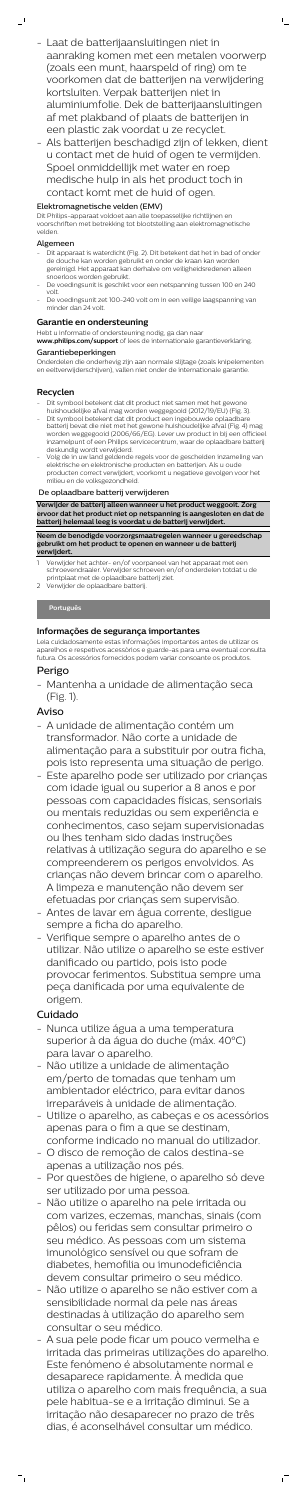- Laat de batterijaansluitingen niet in aanraking komen met een metalen voorwerp (zoals een munt, haarspeld of ring) om te voorkomen dat de batterijen na verwijdering kortsluiten. Verpak batterijen niet in aluminiumfolie. Dek de batterijaansluitingen af met plakband of plaats de batterijen in een plastic zak voordat u ze recyclet.

 $\mathbb{L}_+$ 

- Als batterijen beschadigd zijn of lekken, dient u contact met de huid of ogen te vermijden. Spoel onmiddellijk met water en roep medische hulp in als het product toch in contact komt met de huid of ogen.

## Elektromagnetische velden (EMV)

- Dit apparaat is waterdicht (Fig. 2). Dit betekent dat het in bad of onder de douche kan worden gebruikt en onder de kraan kan worden gereinigd. Het apparaat kan derhalve om veiligheidsredenen alleen snoerloos worden gebruikt.
- De voedingsunit is geschikt voor een netspanning tussen 100 en 240 volt.
- De voedingsunit zet 100-240 volt om in een veilige laagspanning van minder dan 24 volt.

Dit Philips-apparaat voldoet aan alle toepasselijke richtlijnen en voorschriften met betrekking tot blootstelling aan elektromagnetische velden.

### Algemeen

 $\mathbf{I}$ 

#### **Garantie en ondersteuning**

Hebt u informatie of ondersteuning nodig, ga dan naar **www.philips.com/support** of lees de internationale garantieverklaring.

#### Garantiebeperkingen

Onderdelen die onderhevig zijn aan normale slijtage (zoals knipelementen en eeltverwijderschijven), vallen niet onder de internationale garantie.

### **Recyclen**

- A unidade de alimentação contém um transformador. Não corte a unidade de alimentação para a substituir por outra ficha, pois isto representa uma situação de perigo.
- Este aparelho pode ser utilizado por crianças
- Dit symbool betekent dat dit product niet samen met het gewone huishoudelijke afval mag worden weggegooid (2012/19/EU) (Fig. 3).
- Dit symbool betekent dat dit product een ingebouwde oplaadbare batterij bevat die niet met het gewone huishoudelijke afval (Fig. 4) mag worden weggegooid (2006/66/EG). Lever uw product in bij een officieel inzamelpunt of een Philips servicecentrum, waar de oplaadbare batterij deskundig wordt verwijderd.
- Volg de in uw land geldende regels voor de gescheiden inzameling van elektrische en elektronische producten en batterijen. Als u oude producten correct verwijdert, voorkomt u negatieve gevolgen voor het milieu en de volksgezondheid.

#### De oplaadbare batterij verwijderen

**Verwijder de batterij alleen wanneer u het product weggooit. Zorg ervoor dat het product niet op netspanning is aangesloten en dat de batterij helemaal leeg is voordat u de batterij verwijdert.**

**Neem de benodigde voorzorgsmaatregelen wanneer u gereedschap gebruikt om het product te openen en wanneer u de batterij verwijdert.**

- 1 Verwijder het achter- en/of voorpaneel van het apparaat met een schroevendraaier. Verwijder schroeven en/of onderdelen totdat u de printplaat met de oplaadbare batterij ziet.
- 2 Verwijder de oplaadbare batterij.

### **Português**

### **Informações de segurança importantes**

Leia cuidadosamente estas informações importantes antes de utilizar os aparelhos e respetivos acessórios e guarde-as para uma eventual consulta futura. Os acessórios fornecidos podem variar consoante os produtos.

## Perigo

- Mantenha a unidade de alimentação seca (Fig. 1).

## Aviso

com idade igual ou superior a 8 anos e por pessoas com capacidades físicas, sensoriais ou mentais reduzidas ou sem experiência e conhecimentos, caso sejam supervisionadas ou lhes tenham sido dadas instruções relativas à utilização segura do aparelho e se compreenderem os perigos envolvidos. As crianças não devem brincar com o aparelho. A limpeza e manutenção não devem ser efetuadas por crianças sem supervisão.

- Antes de lavar em água corrente, desligue sempre a ficha do aparelho.
- Verifique sempre o aparelho antes de o utilizar. Não utilize o aparelho se este estiver danificado ou partido, pois isto pode provocar ferimentos. Substitua sempre uma peça danificada por uma equivalente de origem.

# Cuidado

- Nunca utilize água a uma temperatura superior à da água do duche (máx. 40°C) para lavar o aparelho.
- Não utilize a unidade de alimentação em/perto de tomadas que tenham um ambientador eléctrico, para evitar danos irreparáveis à unidade de alimentação.
- Utilize o aparelho, as cabeças e os acessórios apenas para o fim a que se destinam, conforme indicado no manual do utilizador.
- O disco de remoção de calos destina-se apenas a utilização nos pés.
- Por questões de higiene, o aparelho só deve ser utilizado por uma pessoa.
- Não utilize o aparelho na pele irritada ou com varizes, eczemas, manchas, sinais (com pêlos) ou feridas sem consultar primeiro o seu médico. As pessoas com um sistema imunológico sensível ou que sofram de diabetes, hemofilia ou imunodeficiência devem consultar primeiro o seu médico.
- Não utilize o aparelho se não estiver com a sensibilidade normal da pele nas áreas destinadas à utilização do aparelho sem consultar o seu médico.
- A sua pele pode ficar um pouco vermelha e irritada das primeiras utilizações do aparelho. Este fenómeno é absolutamente normal e desaparece rapidamente. À medida que utiliza o aparelho com mais frequência, a sua pele habitua-se e a irritação diminui. Se a irritação não desaparecer no prazo de três dias, é aconselhável consultar um médico.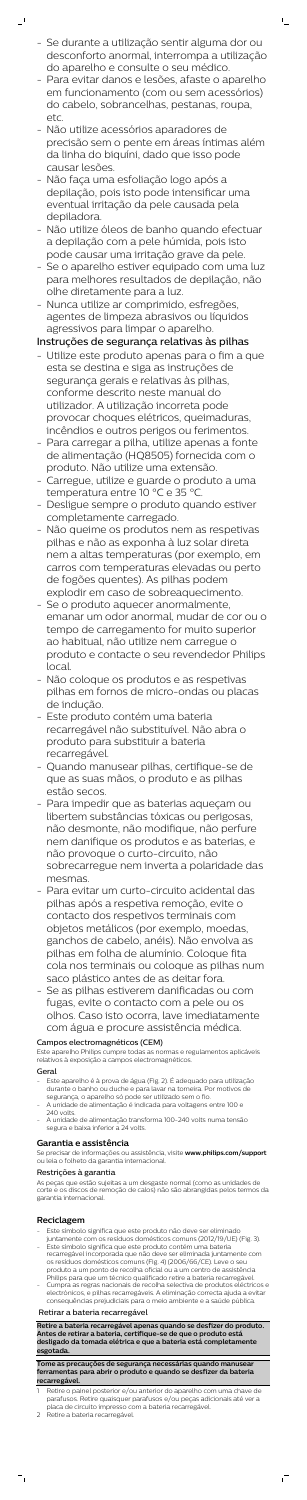- Se durante a utilização sentir alguma dor ou desconforto anormal, interrompa a utilização do aparelho e consulte o seu médico.

 $\mathbb{L}$ 

 $\mathbf{r}$ 

- Para evitar danos e lesões, afaste o aparelho em funcionamento (com ou sem acessórios) do cabelo, sobrancelhas, pestanas, roupa, etc.
- Não utilize acessórios aparadores de precisão sem o pente em áreas íntimas além da linha do biquíni, dado que isso pode causar lesões.
- Não faça uma esfoliação logo após a depilação, pois isto pode intensificar uma eventual irritação da pele causada pela depiladora.
- Não utilize óleos de banho quando efectuar a depilação com a pele húmida, pois isto pode causar uma irritação grave da pele.
- Se o aparelho estiver equipado com uma luz para melhores resultados de depilação, não olhe diretamente para a luz.
- Nunca utilize ar comprimido, esfregões, agentes de limpeza abrasivos ou líquidos agressivos para limpar o aparelho.

# Instruções de segurança relativas às pilhas

- Utilize este produto apenas para o fim a que esta se destina e siga as instruções de segurança gerais e relativas às pilhas, conforme descrito neste manual do utilizador. A utilização incorreta pode provocar choques elétricos, queimaduras, incêndios e outros perigos ou ferimentos.
- Para carregar a pilha, utilize apenas a fonte de alimentação (HQ8505) fornecida com o produto. Não utilize uma extensão.
- Carregue, utilize e guarde o produto a uma temperatura entre 10 °C e 35 °C.
- Desligue sempre o produto quando estiver completamente carregado.
- Não queime os produtos nem as respetivas pilhas e não as exponha à luz solar direta nem a altas temperaturas (por exemplo, em carros com temperaturas elevadas ou perto de fogões quentes). As pilhas podem explodir em caso de sobreaquecimento.
- Se o produto aquecer anormalmente, emanar um odor anormal, mudar de cor ou o tempo de carregamento for muito superior ao habitual, não utilize nem carregue o produto e contacte o seu revendedor Philips local.
- Não coloque os produtos e as respetivas pilhas em fornos de micro-ondas ou placas de indução.
- Este produto contém uma bateria recarregável não substituível. Não abra o produto para substituir a bateria recarregável.
- Quando manusear pilhas, certifique-se de

que as suas mãos, o produto e as pilhas estão secos.

- Retire o painel posterior e/ou anterior do aparelho com uma chave de parafusos. Retire quaisquer parafusos e/ou peças adicionais até ver a placa de circuito impresso com a bateria recarregável.
- 2 Retire a bateria recarregável.

 $^{-}$ 

- Para impedir que as baterias aqueçam ou libertem substâncias tóxicas ou perigosas, não desmonte, não modifique, não perfure nem danifique os produtos e as baterias, e não provoque o curto-circuito, não sobrecarregue nem inverta a polaridade das mesmas.
- Para evitar um curto-circuito acidental das pilhas após a respetiva remoção, evite o contacto dos respetivos terminais com objetos metálicos (por exemplo, moedas, ganchos de cabelo, anéis). Não envolva as pilhas em folha de alumínio. Coloque fita cola nos terminais ou coloque as pilhas num saco plástico antes de as deitar fora.
- Se as pilhas estiverem danificadas ou com fugas, evite o contacto com a pele ou os olhos. Caso isto ocorra, lave imediatamente com água e procure assistência médica.

### Campos electromagnéticos (CEM)

Este aparelho Philips cumpre todas as normas e regulamentos aplicáveis relativos à exposição a campos electromagnéticos.

#### Geral

- Este aparelho é à prova de água (Fig. 2). É adequado para utilização durante o banho ou duche e para lavar na torneira. Por motivos de segurança, o aparelho só pode ser utilizado sem o fio.
- A unidade de alimentação é indicada para voltagens entre 100 e 240 volts.
- A unidade de alimentação transforma 100-240 volts numa tensão segura e baixa inferior a 24 volts.

#### **Garantia e assistência**

Se precisar de informações ou assistência, visite **www.philips.com/support** ou leia o folheto da garantia internacional.

#### Restrições à garantia

As peças que estão sujeitas a um desgaste normal (como as unidades de corte e os discos de remoção de calos) não são abrangidas pelos termos da garantia internacional.

### **Reciclagem**

- Este símbolo significa que este produto não deve ser eliminado juntamente com os resíduos domésticos comuns (2012/19/UE) (Fig. 3).
- Este símbolo significa que este produto contém uma bateria recarregável incorporada que não deve ser eliminada juntamente com os resíduos domésticos comuns (Fig. 4) (2006/66/CE). Leve o seu produto a um ponto de recolha oficial ou a um centro de assistência Philips para que um técnico qualificado retire a bateria recarregável.
- Cumpra as regras nacionais de recolha selectiva de produtos eléctricos e electrónicos, e pilhas recarregáveis. A eliminação correcta ajuda a evitar consequências prejudiciais para o meio ambiente e a saúde pública.

#### Retirar a bateria recarregável

**Retire a bateria recarregável apenas quando se desfizer do produto. Antes de retirar a bateria, certifique-se de que o produto está desligado da tomada elétrica e que a bateria está completamente esgotada.**

**Tome as precauções de segurança necessárias quando manusear ferramentas para abrir o produto e quando se desfizer da bateria recarregável.**